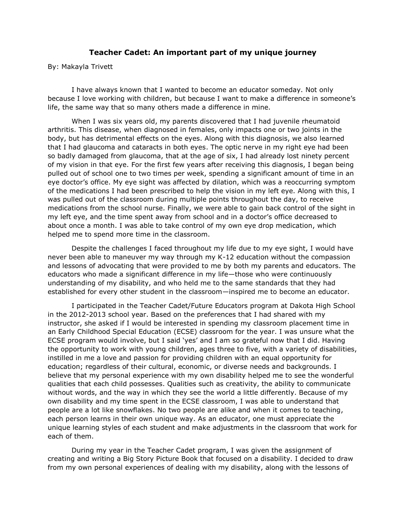## **Teacher Cadet: An important part of my unique journey**

By: Makayla Trivett

I have always known that I wanted to become an educator someday. Not only because I love working with children, but because I want to make a difference in someone's life, the same way that so many others made a difference in mine.

When I was six years old, my parents discovered that I had juvenile rheumatoid arthritis. This disease, when diagnosed in females, only impacts one or two joints in the body, but has detrimental effects on the eyes. Along with this diagnosis, we also learned that I had glaucoma and cataracts in both eyes. The optic nerve in my right eye had been so badly damaged from glaucoma, that at the age of six, I had already lost ninety percent of my vision in that eye. For the first few years after receiving this diagnosis, I began being pulled out of school one to two times per week, spending a significant amount of time in an eye doctor's office. My eye sight was affected by dilation, which was a reoccurring symptom of the medications I had been prescribed to help the vision in my left eye. Along with this, I was pulled out of the classroom during multiple points throughout the day, to receive medications from the school nurse. Finally, we were able to gain back control of the sight in my left eye, and the time spent away from school and in a doctor's office decreased to about once a month. I was able to take control of my own eye drop medication, which helped me to spend more time in the classroom.

Despite the challenges I faced throughout my life due to my eye sight, I would have never been able to maneuver my way through my K-12 education without the compassion and lessons of advocating that were provided to me by both my parents and educators. The educators who made a significant difference in my life—those who were continuously understanding of my disability, and who held me to the same standards that they had established for every other student in the classroom—inspired me to become an educator.

I participated in the Teacher Cadet/Future Educators program at Dakota High School in the 2012-2013 school year. Based on the preferences that I had shared with my instructor, she asked if I would be interested in spending my classroom placement time in an Early Childhood Special Education (ECSE) classroom for the year. I was unsure what the ECSE program would involve, but I said 'yes' and I am so grateful now that I did. Having the opportunity to work with young children, ages three to five, with a variety of disabilities, instilled in me a love and passion for providing children with an equal opportunity for education; regardless of their cultural, economic, or diverse needs and backgrounds. I believe that my personal experience with my own disability helped me to see the wonderful qualities that each child possesses. Qualities such as creativity, the ability to communicate without words, and the way in which they see the world a little differently. Because of my own disability and my time spent in the ECSE classroom, I was able to understand that people are a lot like snowflakes. No two people are alike and when it comes to teaching, each person learns in their own unique way. As an educator, one must appreciate the unique learning styles of each student and make adjustments in the classroom that work for each of them.

During my year in the Teacher Cadet program, I was given the assignment of creating and writing a Big Story Picture Book that focused on a disability. I decided to draw from my own personal experiences of dealing with my disability, along with the lessons of